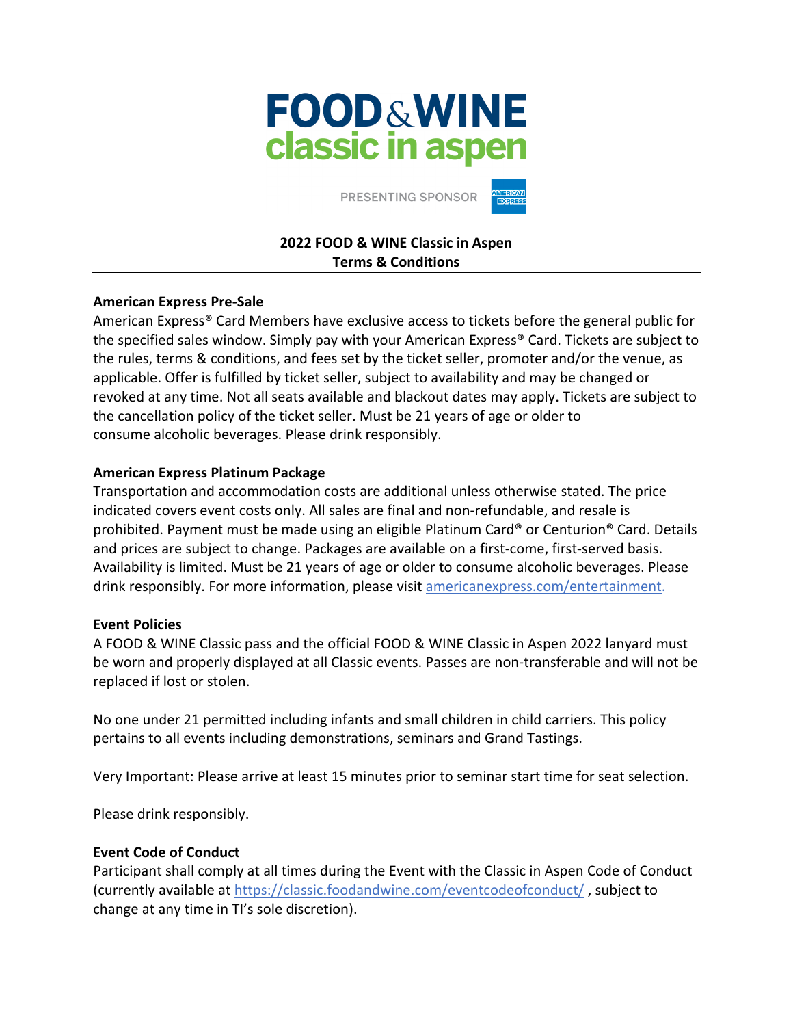# **FOOD&WINE** classic in aspen

PRESENTING SPONSOR

# **2022 FOOD & WINE Classic in Aspen Terms & Conditions**

## **American Express Pre-Sale**

American Express® Card Members have exclusive access to tickets before the general public for the specified sales window. Simply pay with your American Express® Card. Tickets are subject to the rules, terms & conditions, and fees set by the ticket seller, promoter and/or the venue, as applicable. Offer is fulfilled by ticket seller, subject to availability and may be changed or revoked at any time. Not all seats available and blackout dates may apply. Tickets are subject to the cancellation policy of the ticket seller. Must be 21 years of age or older to consume alcoholic beverages. Please drink responsibly.

## **American Express Platinum Package**

Transportation and accommodation costs are additional unless otherwise stated. The price indicated covers event costs only. All sales are final and non-refundable, and resale is prohibited. Payment must be made using an eligible Platinum Card® or Centurion® Card. Details and prices are subject to change. Packages are available on a first-come, first-served basis. Availability is limited. Must be 21 years of age or older to consume alcoholic beverages. Please drink responsibly. For more information, please visit americanexpress.com/entertainment.

# **Event Policies**

A FOOD & WINE Classic pass and the official FOOD & WINE Classic in Aspen 2022 lanyard must be worn and properly displayed at all Classic events. Passes are non-transferable and will not be replaced if lost or stolen.

No one under 21 permitted including infants and small children in child carriers. This policy pertains to all events including demonstrations, seminars and Grand Tastings.

Very Important: Please arrive at least 15 minutes prior to seminar start time for seat selection.

Please drink responsibly.

### **Event Code of Conduct**

Participant shall comply at all times during the Event with the Classic in Aspen Code of Conduct (currently available at https://classic.foodandwine.com/eventcodeofconduct/ , subject to change at any time in TI's sole discretion).